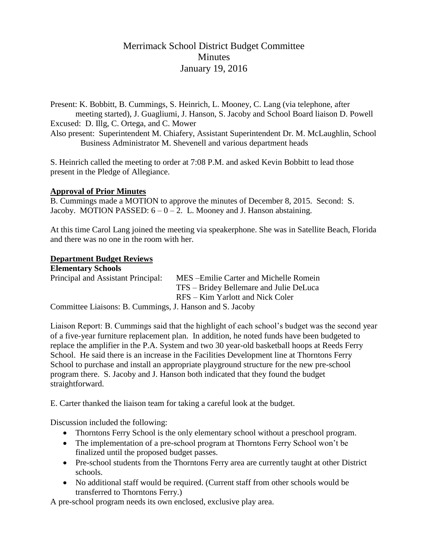# Merrimack School District Budget Committee **Minutes** January 19, 2016

Present: K. Bobbitt, B. Cummings, S. Heinrich, L. Mooney, C. Lang (via telephone, after meeting started), J. Guagliumi, J. Hanson, S. Jacoby and School Board liaison D. Powell Excused: D. Illg, C. Ortega, and C. Mower Also present: Superintendent M. Chiafery, Assistant Superintendent Dr. M. McLaughlin, School Business Administrator M. Shevenell and various department heads

S. Heinrich called the meeting to order at 7:08 P.M. and asked Kevin Bobbitt to lead those present in the Pledge of Allegiance.

#### **Approval of Prior Minutes**

B. Cummings made a MOTION to approve the minutes of December 8, 2015. Second: S. Jacoby. MOTION PASSED:  $6 - 0 - 2$ . L. Mooney and J. Hanson abstaining.

At this time Carol Lang joined the meeting via speakerphone. She was in Satellite Beach, Florida and there was no one in the room with her.

#### **Department Budget Reviews**

| <b>Elementary Schools</b>                                |                                         |
|----------------------------------------------------------|-----------------------------------------|
| Principal and Assistant Principal:                       | MES-Emilie Carter and Michelle Romein   |
|                                                          | TFS – Bridey Bellemare and Julie DeLuca |
|                                                          | RFS – Kim Yarlott and Nick Coler        |
| Committee Liaisons: B. Cummings, J. Hanson and S. Jacoby |                                         |

Liaison Report: B. Cummings said that the highlight of each school's budget was the second year of a five-year furniture replacement plan. In addition, he noted funds have been budgeted to replace the amplifier in the P.A. System and two 30 year-old basketball hoops at Reeds Ferry School. He said there is an increase in the Facilities Development line at Thorntons Ferry School to purchase and install an appropriate playground structure for the new pre-school program there. S. Jacoby and J. Hanson both indicated that they found the budget straightforward.

E. Carter thanked the liaison team for taking a careful look at the budget.

Discussion included the following:

- Thorntons Ferry School is the only elementary school without a preschool program.
- The implementation of a pre-school program at Thorntons Ferry School won't be finalized until the proposed budget passes.
- Pre-school students from the Thorntons Ferry area are currently taught at other District schools.
- No additional staff would be required. (Current staff from other schools would be transferred to Thorntons Ferry.)

A pre-school program needs its own enclosed, exclusive play area.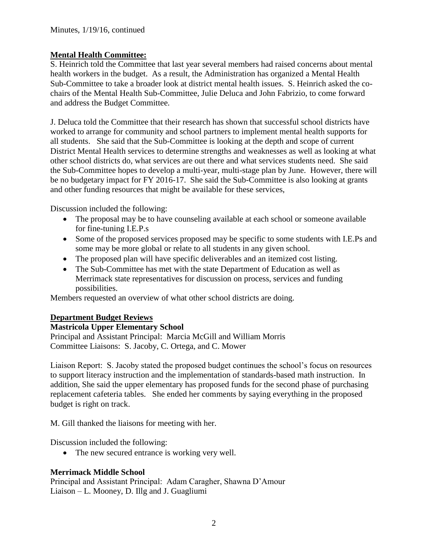# **Mental Health Committee:**

S. Heinrich told the Committee that last year several members had raised concerns about mental health workers in the budget. As a result, the Administration has organized a Mental Health Sub-Committee to take a broader look at district mental health issues. S. Heinrich asked the cochairs of the Mental Health Sub-Committee, Julie Deluca and John Fabrizio, to come forward and address the Budget Committee.

J. Deluca told the Committee that their research has shown that successful school districts have worked to arrange for community and school partners to implement mental health supports for all students. She said that the Sub-Committee is looking at the depth and scope of current District Mental Health services to determine strengths and weaknesses as well as looking at what other school districts do, what services are out there and what services students need. She said the Sub-Committee hopes to develop a multi-year, multi-stage plan by June. However, there will be no budgetary impact for FY 2016-17. She said the Sub-Committee is also looking at grants and other funding resources that might be available for these services,

Discussion included the following:

- The proposal may be to have counseling available at each school or someone available for fine-tuning I.E.P.s
- Some of the proposed services proposed may be specific to some students with I.E.Ps and some may be more global or relate to all students in any given school.
- The proposed plan will have specific deliverables and an itemized cost listing.
- The Sub-Committee has met with the state Department of Education as well as Merrimack state representatives for discussion on process, services and funding possibilities.

Members requested an overview of what other school districts are doing.

# **Department Budget Reviews**

# **Mastricola Upper Elementary School**

Principal and Assistant Principal: Marcia McGill and William Morris Committee Liaisons: S. Jacoby, C. Ortega, and C. Mower

Liaison Report: S. Jacoby stated the proposed budget continues the school's focus on resources to support literacy instruction and the implementation of standards-based math instruction. In addition, She said the upper elementary has proposed funds for the second phase of purchasing replacement cafeteria tables. She ended her comments by saying everything in the proposed budget is right on track.

M. Gill thanked the liaisons for meeting with her.

Discussion included the following:

• The new secured entrance is working very well.

# **Merrimack Middle School**

Principal and Assistant Principal: Adam Caragher, Shawna D'Amour Liaison – L. Mooney, D. Illg and J. Guagliumi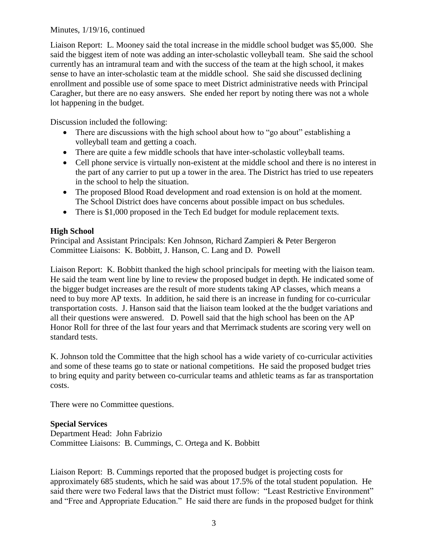#### Minutes, 1/19/16, continued

Liaison Report: L. Mooney said the total increase in the middle school budget was \$5,000. She said the biggest item of note was adding an inter-scholastic volleyball team. She said the school currently has an intramural team and with the success of the team at the high school, it makes sense to have an inter-scholastic team at the middle school. She said she discussed declining enrollment and possible use of some space to meet District administrative needs with Principal Caragher, but there are no easy answers. She ended her report by noting there was not a whole lot happening in the budget.

Discussion included the following:

- There are discussions with the high school about how to "go about" establishing a volleyball team and getting a coach.
- There are quite a few middle schools that have inter-scholastic volleyball teams.
- Cell phone service is virtually non-existent at the middle school and there is no interest in the part of any carrier to put up a tower in the area. The District has tried to use repeaters in the school to help the situation.
- The proposed Blood Road development and road extension is on hold at the moment. The School District does have concerns about possible impact on bus schedules.
- There is \$1,000 proposed in the Tech Ed budget for module replacement texts.

### **High School**

Principal and Assistant Principals: Ken Johnson, Richard Zampieri & Peter Bergeron Committee Liaisons: K. Bobbitt, J. Hanson, C. Lang and D. Powell

Liaison Report: K. Bobbitt thanked the high school principals for meeting with the liaison team. He said the team went line by line to review the proposed budget in depth. He indicated some of the bigger budget increases are the result of more students taking AP classes, which means a need to buy more AP texts. In addition, he said there is an increase in funding for co-curricular transportation costs. J. Hanson said that the liaison team looked at the the budget variations and all their questions were answered. D. Powell said that the high school has been on the AP Honor Roll for three of the last four years and that Merrimack students are scoring very well on standard tests.

K. Johnson told the Committee that the high school has a wide variety of co-curricular activities and some of these teams go to state or national competitions. He said the proposed budget tries to bring equity and parity between co-curricular teams and athletic teams as far as transportation costs.

There were no Committee questions.

#### **Special Services**

Department Head: John Fabrizio Committee Liaisons: B. Cummings, C. Ortega and K. Bobbitt

Liaison Report: B. Cummings reported that the proposed budget is projecting costs for approximately 685 students, which he said was about 17.5% of the total student population. He said there were two Federal laws that the District must follow: "Least Restrictive Environment" and "Free and Appropriate Education." He said there are funds in the proposed budget for think